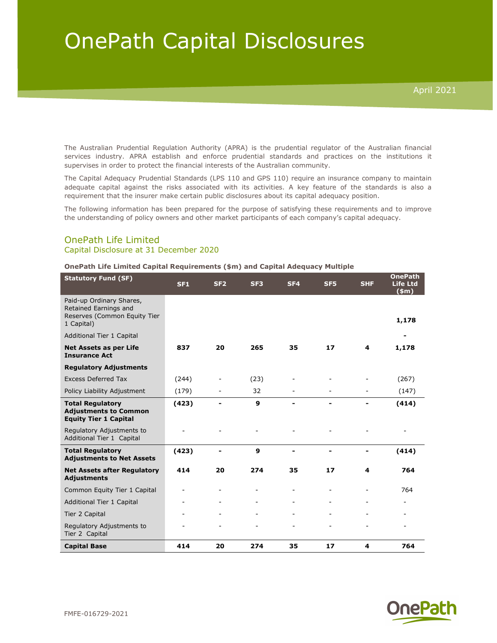## OnePath Capital Disclosures

The Australian Prudential Regulation Authority (APRA) is the prudential regulator of the Australian financial services industry. APRA establish and enforce prudential standards and practices on the institutions it supervises in order to protect the financial interests of the Australian community.

The Capital Adequacy Prudential Standards (LPS 110 and GPS 110) require an insurance company to maintain adequate capital against the risks associated with its activities. A key feature of the standards is also a requirement that the insurer make certain public disclosures about its capital adequacy position.

The following information has been prepared for the purpose of satisfying these requirements and to improve the understanding of policy owners and other market participants of each company's capital adequacy.

## OnePath Life Limited Capital Disclosure at 31 December 2020

## OnePath Life Limited Capital Requirements (\$m) and Capital Adequacy Multiple

| <b>Statutory Fund (SF)</b>                                                                      | <b>SF1</b> | SF <sub>2</sub> | SF <sub>3</sub> | SF <sub>4</sub> | SF <sub>5</sub> | <b>SHF</b> | <b>OnePath</b><br><b>Life Ltd</b><br>\$m\$ |
|-------------------------------------------------------------------------------------------------|------------|-----------------|-----------------|-----------------|-----------------|------------|--------------------------------------------|
| Paid-up Ordinary Shares,<br>Retained Earnings and<br>Reserves (Common Equity Tier<br>1 Capital) |            |                 |                 |                 |                 |            | 1,178                                      |
| Additional Tier 1 Capital                                                                       |            |                 |                 |                 |                 |            | -                                          |
| Net Assets as per Life<br><b>Insurance Act</b>                                                  | 837        | 20              | 265             | 35              | 17              | 4          | 1,178                                      |
| <b>Regulatory Adjustments</b>                                                                   |            |                 |                 |                 |                 |            |                                            |
| <b>Excess Deferred Tax</b>                                                                      | (244)      |                 | (23)            |                 |                 |            | (267)                                      |
| Policy Liability Adjustment                                                                     | (179)      |                 | 32              |                 |                 |            | (147)                                      |
| <b>Total Regulatory</b><br><b>Adjustments to Common</b><br><b>Equity Tier 1 Capital</b>         | (423)      |                 | $\mathbf{9}$    |                 | $\blacksquare$  |            | (414)                                      |
| Regulatory Adjustments to<br>Additional Tier 1 Capital                                          |            |                 |                 |                 |                 |            |                                            |
| <b>Total Regulatory</b><br><b>Adjustments to Net Assets</b>                                     | (423)      |                 | 9               |                 |                 |            | (414)                                      |
| <b>Net Assets after Regulatory</b><br><b>Adjustments</b>                                        | 414        | 20              | 274             | 35              | 17              | 4          | 764                                        |
| Common Equity Tier 1 Capital                                                                    |            |                 |                 |                 |                 |            | 764                                        |
| Additional Tier 1 Capital                                                                       |            |                 |                 |                 |                 |            |                                            |
| Tier 2 Capital                                                                                  |            |                 |                 |                 |                 |            |                                            |
| Regulatory Adjustments to<br>Tier 2 Capital                                                     |            |                 |                 |                 |                 |            |                                            |
| <b>Capital Base</b>                                                                             | 414        | 20              | 274             | 35              | 17              | 4          | 764                                        |

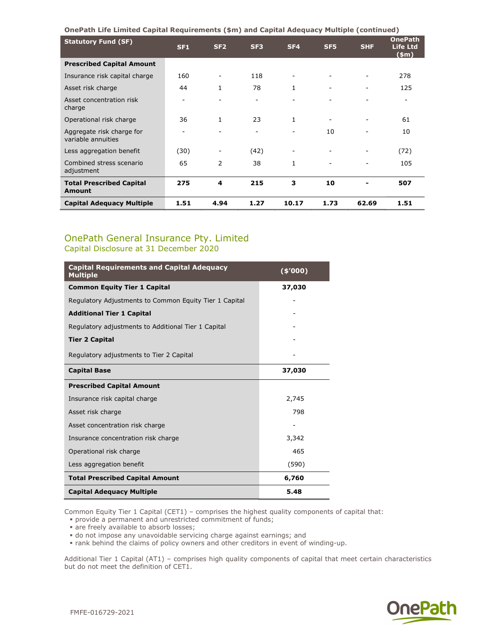OnePath Life Limited Capital Requirements (\$m) and Capital Adequacy Multiple (continued)

| <b>Statutory Fund (SF)</b>                      | <b>SF1</b> | SF <sub>2</sub> | SF <sub>3</sub>          | SF <sub>4</sub>          | SF <sub>5</sub>          | <b>SHF</b>               | <b>OnePath</b><br><b>Life Ltd</b><br>$(\$m)$ |
|-------------------------------------------------|------------|-----------------|--------------------------|--------------------------|--------------------------|--------------------------|----------------------------------------------|
| <b>Prescribed Capital Amount</b>                |            |                 |                          |                          |                          |                          |                                              |
| Insurance risk capital charge                   | 160        |                 | 118                      |                          |                          |                          | 278                                          |
| Asset risk charge                               | 44         | $\mathbf{1}$    | 78                       | 1                        | $\overline{\phantom{0}}$ | $\overline{\phantom{0}}$ | 125                                          |
| Asset concentration risk<br>charge              |            |                 |                          |                          |                          |                          |                                              |
| Operational risk charge                         | 36         | $\mathbf{1}$    | 23                       | 1                        |                          |                          | 61                                           |
| Aggregate risk charge for<br>variable annuities |            |                 | $\overline{\phantom{a}}$ | $\overline{\phantom{a}}$ | 10                       |                          | 10                                           |
| Less aggregation benefit                        | (30)       |                 | (42)                     |                          |                          |                          | (72)                                         |
| Combined stress scenario<br>adjustment          | 65         | $\mathcal{P}$   | 38                       |                          |                          |                          | 105                                          |
| <b>Total Prescribed Capital</b><br>Amount       | 275        | 4               | 215                      | 3                        | 10                       |                          | 507                                          |
| <b>Capital Adequacy Multiple</b>                | 1.51       | 4.94            | 1.27                     | 10.17                    | 1.73                     | 62.69                    | 1.51                                         |

## OnePath General Insurance Pty. Limited Capital Disclosure at 31 December 2020

| <b>Capital Requirements and Capital Adequacy</b><br><b>Multiple</b> | $(*'000)$                |  |
|---------------------------------------------------------------------|--------------------------|--|
| <b>Common Equity Tier 1 Capital</b>                                 | 37,030                   |  |
| Regulatory Adjustments to Common Equity Tier 1 Capital              |                          |  |
| <b>Additional Tier 1 Capital</b>                                    |                          |  |
| Regulatory adjustments to Additional Tier 1 Capital                 |                          |  |
| <b>Tier 2 Capital</b>                                               |                          |  |
| Regulatory adjustments to Tier 2 Capital                            |                          |  |
| <b>Capital Base</b>                                                 | 37,030                   |  |
| <b>Prescribed Capital Amount</b>                                    |                          |  |
| Insurance risk capital charge                                       | 2,745                    |  |
| Asset risk charge                                                   | 798                      |  |
| Asset concentration risk charge                                     | $\overline{\phantom{0}}$ |  |
| Insurance concentration risk charge                                 | 3,342                    |  |
| Operational risk charge                                             | 465                      |  |
| Less aggregation benefit                                            | (590)                    |  |
| <b>Total Prescribed Capital Amount</b>                              | 6,760                    |  |
| <b>Capital Adequacy Multiple</b>                                    | 5.48                     |  |

Common Equity Tier 1 Capital (CET1) – comprises the highest quality components of capital that:

provide a permanent and unrestricted commitment of funds;

• are freely available to absorb losses;

do not impose any unavoidable servicing charge against earnings; and

rank behind the claims of policy owners and other creditors in event of winding-up.

Additional Tier 1 Capital (AT1) – comprises high quality components of capital that meet certain characteristics but do not meet the definition of CET1.